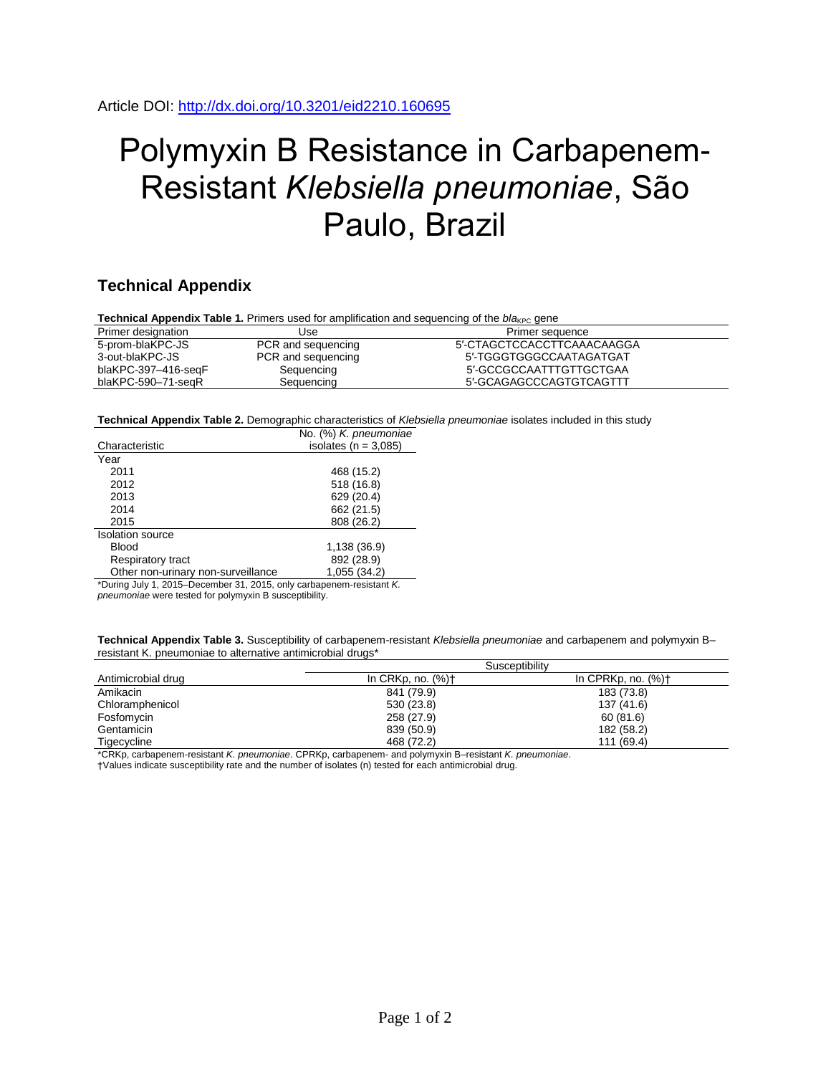## Polymyxin B Resistance in Carbapenem-Resistant *Klebsiella pneumoniae*, São Paulo, Brazil

## **Technical Appendix**

**Technical Appendix Table 1.** Primers used for amplification and sequencing of the *bla<sub>KPC</sub>* gene

| Primer designation  | Use                | Primer sequence            |
|---------------------|--------------------|----------------------------|
| 5-prom-blaKPC-JS    | PCR and sequencing | 5'-CTAGCTCCACCTTCAAACAAGGA |
| 3-out-blaKPC-JS     | PCR and sequencing | 5'-TGGGTGGGCCAATAGATGAT    |
| blaKPC-397-416-seqF | Sequencing         | 5'-GCCGCCAATTTGTTGCTGAA    |
| blaKPC-590-71-segR  | Sequencing         | 5'-GCAGAGCCCAGTGTCAGTTT    |

**Technical Appendix Table 2.** Demographic characteristics of *Klebsiella pneumoniae* isolates included in this study

|                                                              | No. (%) K. pneumoniae    |  |  |
|--------------------------------------------------------------|--------------------------|--|--|
| Characteristic                                               | isolates ( $n = 3.085$ ) |  |  |
| Year                                                         |                          |  |  |
| 2011                                                         | 468 (15.2)               |  |  |
| 2012                                                         | 518 (16.8)               |  |  |
| 2013                                                         | 629 (20.4)               |  |  |
| 2014                                                         | 662 (21.5)               |  |  |
| 2015                                                         | 808 (26.2)               |  |  |
| <b>Isolation source</b>                                      |                          |  |  |
| <b>Blood</b>                                                 | 1,138 (36.9)             |  |  |
| Respiratory tract                                            | 892 (28.9)               |  |  |
| Other non-urinary non-surveillance                           | 1,055(34.2)              |  |  |
| $*D$ in the 4.0045 December 04.0045 extensions assistant $V$ |                          |  |  |

\*During July 1, 2015–December 31, 2015, only carbapenem-resistant *K. pneumoniae* were tested for polymyxin B susceptibility.

**Technical Appendix Table 3.** Susceptibility of carbapenem-resistant *Klebsiella pneumoniae* and carbapenem and polymyxin B– resistant K. pneumoniae to alternative antimicrobial drugs\*

|                    | Susceptibility                   |                                   |  |  |
|--------------------|----------------------------------|-----------------------------------|--|--|
| Antimicrobial drug | In CRKp, no. $(\%)$ <sup>+</sup> | In CPRKp, no. $(\%)$ <sup>+</sup> |  |  |
| Amikacin           | 841 (79.9)                       | 183 (73.8)                        |  |  |
| Chloramphenicol    | 530 (23.8)                       | 137 (41.6)                        |  |  |
| Fosfomycin         | 258 (27.9)                       | 60(81.6)                          |  |  |
| Gentamicin         | 839 (50.9)                       | 182 (58.2)                        |  |  |
| Tigecycline        | 468 (72.2)                       | 111 (69.4)                        |  |  |

\*CRKp, carbapenem-resistant *K. pneumoniae*. CPRKp, carbapenem- and polymyxin B–resistant *K. pneumoniae*.

†Values indicate susceptibility rate and the number of isolates (n) tested for each antimicrobial drug.